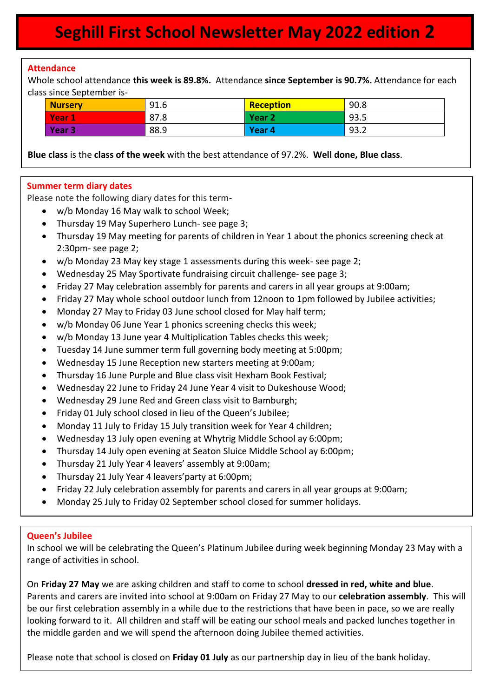# **Seghill First School Newsletter May 2022 edition 2**

#### **Attendance**

 $\overline{\phantom{a}}$ 

Whole school attendance **this week is 89.8%.** Attendance **since September is 90.7%.** Attendance for each class since September is-

| <b>Nurserv</b>    | 91.6 | <b>Reception</b>  | 90.8 |
|-------------------|------|-------------------|------|
| <b>Year</b><br>1  | 87.8 | Year <sub>2</sub> | 93.5 |
| Year <sub>3</sub> | 88.9 | Year 4            | 93.2 |

**Blue class** is the **class of the week** with the best attendance of 97.2%. **Well done, Blue class**.

#### **Summer term diary dates**

Please note the following diary dates for this term-

- w/b Monday 16 May walk to school Week;
- Thursday 19 May Superhero Lunch- see page 3;
- Thursday 19 May meeting for parents of children in Year 1 about the phonics screening check at 2:30pm- see page 2;
- w/b Monday 23 May key stage 1 assessments during this week- see page 2;
- Wednesday 25 May Sportivate fundraising circuit challenge- see page 3;
- Friday 27 May celebration assembly for parents and carers in all year groups at 9:00am;
- Friday 27 May whole school outdoor lunch from 12noon to 1pm followed by Jubilee activities;
- Monday 27 May to Friday 03 June school closed for May half term;
- w/b Monday 06 June Year 1 phonics screening checks this week;
- w/b Monday 13 June year 4 Multiplication Tables checks this week;
- Tuesday 14 June summer term full governing body meeting at 5:00pm;
- Wednesday 15 June Reception new starters meeting at 9:00am;
- Thursday 16 June Purple and Blue class visit Hexham Book Festival;
- Wednesday 22 June to Friday 24 June Year 4 visit to Dukeshouse Wood;
- Wednesday 29 June Red and Green class visit to Bamburgh;
- Friday 01 July school closed in lieu of the Queen's Jubilee;
- Monday 11 July to Friday 15 July transition week for Year 4 children;
- Wednesday 13 July open evening at Whytrig Middle School ay 6:00pm;
- Thursday 14 July open evening at Seaton Sluice Middle School ay 6:00pm;
- Thursday 21 July Year 4 leavers' assembly at 9:00am;
- Thursday 21 July Year 4 leavers'party at 6:00pm;
- Friday 22 July celebration assembly for parents and carers in all year groups at 9:00am;
- Monday 25 July to Friday 02 September school closed for summer holidays.

#### **Queen's Jubilee**

In school we will be celebrating the Queen's Platinum Jubilee during week beginning Monday 23 May with a range of activities in school.

On **Friday 27 May** we are asking children and staff to come to school **dressed in red, white and blue**. Parents and carers are invited into school at 9:00am on Friday 27 May to our **celebration assembly**. This will be our first celebration assembly in a while due to the restrictions that have been in pace, so we are really looking forward to it. All children and staff will be eating our school meals and packed lunches together in the middle garden and we will spend the afternoon doing Jubilee themed activities.

Please note that school is closed on **Friday 01 July** as our partnership day in lieu of the bank holiday.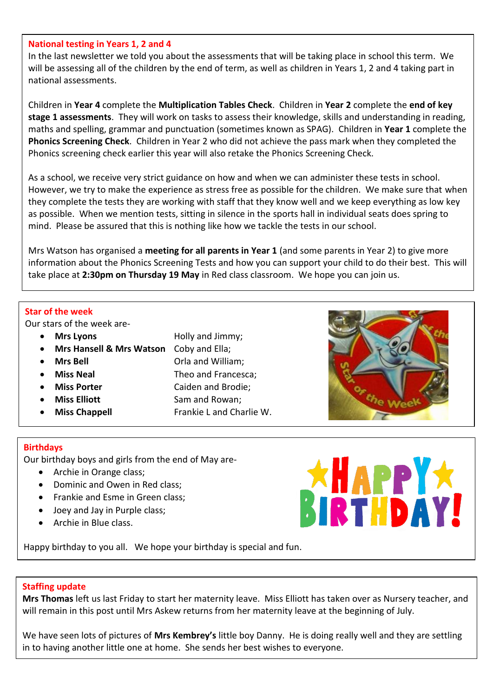#### **National testing in Years 1, 2 and 4**

In the last newsletter we told you about the assessments that will be taking place in school this term. We will be assessing all of the children by the end of term, as well as children in Years 1, 2 and 4 taking part in national assessments.

Children in **Year 4** complete the **Multiplication Tables Check**. Children in **Year 2** complete the **end of key stage 1 assessments**. They will work on tasks to assess their knowledge, skills and understanding in reading, maths and spelling, grammar and punctuation (sometimes known as SPAG). Children in **Year 1** complete the **Phonics Screening Check**. Children in Year 2 who did not achieve the pass mark when they completed the Phonics screening check earlier this year will also retake the Phonics Screening Check.

As a school, we receive very strict guidance on how and when we can administer these tests in school. However, we try to make the experience as stress free as possible for the children. We make sure that when they complete the tests they are working with staff that they know well and we keep everything as low key as possible. When we mention tests, sitting in silence in the sports hall in individual seats does spring to mind. Please be assured that this is nothing like how we tackle the tests in our school.

Mrs Watson has organised a **meeting for all parents in Year 1** (and some parents in Year 2) to give more information about the Phonics Screening Tests and how you can support your child to do their best. This will take place at **2:30pm on Thursday 19 May** in Red class classroom. We hope you can join us.

#### **Star of the week**

Our stars of the week are-

- 
- **Mrs Hansell & Mrs Watson** Coby and Ella;
- 
- 
- 
- 
- 
- **Mrs Lyons Holly and Jimmy**;
	-
- **Mrs Bell Communist Communist Communist Communist Communist Communist Communist Communist Communist Communist Communist Communist Communist Communist Communist Communist Communist Communist Communist Communist Communis** 
	- **Miss Neal** Theo and Francesca:
	- **Miss Porter** Caiden and Brodie;
- Miss Elliott Sam and Rowan;
- **Miss Chappell** Frankie L and Charlie W.

#### **Birthdays**

Our birthday boys and girls from the end of May are-

- Archie in Orange class;
- Dominic and Owen in Red class;
- Frankie and Esme in Green class;
- Joey and Jay in Purple class;
- Archie in Blue class.



Happy birthday to you all. We hope your birthday is special and fun.

#### **Staffing update**

**Mrs Thomas** left us last Friday to start her maternity leave. Miss Elliott has taken over as Nursery teacher, and will remain in this post until Mrs Askew returns from her maternity leave at the beginning of July.

We have seen lots of pictures of **Mrs Kembrey's** little boy Danny. He is doing really well and they are settling in to having another little one at home. She sends her best wishes to everyone.

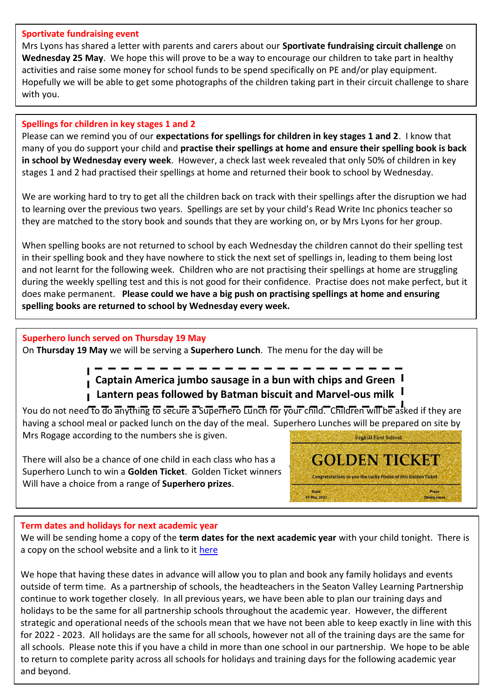#### **Sportivate fundraising event**

Mrs Lyons has shared a letter with parents and carers about our **Sportivate fundraising circuit challenge** on **Wednesday 25 May**. We hope this will prove to be a way to encourage our children to take part in healthy activities and raise some money for school funds to be spend specifically on PE and/or play equipment. Hopefully we will be able to get some photographs of the children taking part in their circuit challenge to share with you.

## **Spellings for children in key stages 1 and 2**

Please can we remind you of our **expectations for spellings for children in key stages 1 and 2**. I know that many of you do support your child and **practise their spellings at home and ensure their spelling book is back in school by Wednesday every week**. However, a check last week revealed that only 50% of children in key stages 1 and 2 had practised their spellings at home and returned their book to school by Wednesday.

We are working hard to try to get all the children back on track with their spellings after the disruption we had to learning over the previous two years. Spellings are set by your child's Read Write Inc phonics teacher so they are matched to the story book and sounds that they are working on, or by Mrs Lyons for her group.

When spelling books are not returned to school by each Wednesday the children cannot do their spelling test in their spelling book and they have nowhere to stick the next set of spellings in, leading to them being lost and not learnt for the following week. Children who are not practising their spellings at home are struggling during the weekly spelling test and this is not good for their confidence. Practise does not make perfect, but it does make permanent. **Please could we have a big push on practising spellings at home and ensuring spelling books are returned to school by Wednesday every week.**

### **Superhero lunch served on Thursday 19 May**

On **Thursday 19 May** we will be serving a **Superhero Lunch**. The menu for the day will be

# **Captain America jumbo sausage in a bun with chips and Green Lantern peas followed by Batman biscuit and Marvel-ous milk**

You do not need to do anything to secure a Superhero Lunch for your child. Children will be asked if they are having a school meal or packed lunch on the day of the meal. Superhero Lunches will be prepared on site by Mrs Rogage according to the numbers she is given. Seghill First School

**GOLDEN TICKET** 

Congratulations to you the Lucky Finder of this Golden Ticket

Date 19 May 2022

There will also be a chance of one child in each class who has a Superhero Lunch to win a **Golden Ticket**. Golden Ticket winners Will have a choice from a range of **Superhero prizes**.

# **Term dates and holidays for next academic year**

We will be sending home a copy of the **term dates for the next academic year** with your child tonight. There is a copy on the school website and a link to it [here](../../parents%20general%202022%20-%202023/Term%20dates%202022-23.pdf)

We hope that having these dates in advance will allow you to plan and book any family holidays and events outside of term time. As a partnership of schools, the headteachers in the Seaton Valley Learning Partnership continue to work together closely. In all previous years, we have been able to plan our training days and holidays to be the same for all partnership schools throughout the academic year. However, the different strategic and operational needs of the schools mean that we have not been able to keep exactly in line with this for 2022 - 2023. All holidays are the same for all schools, however not all of the training days are the same for all schools. Please note this if you have a child in more than one school in our partnership. We hope to be able to return to complete parity across all schools for holidays and training days for the following academic year and beyond.